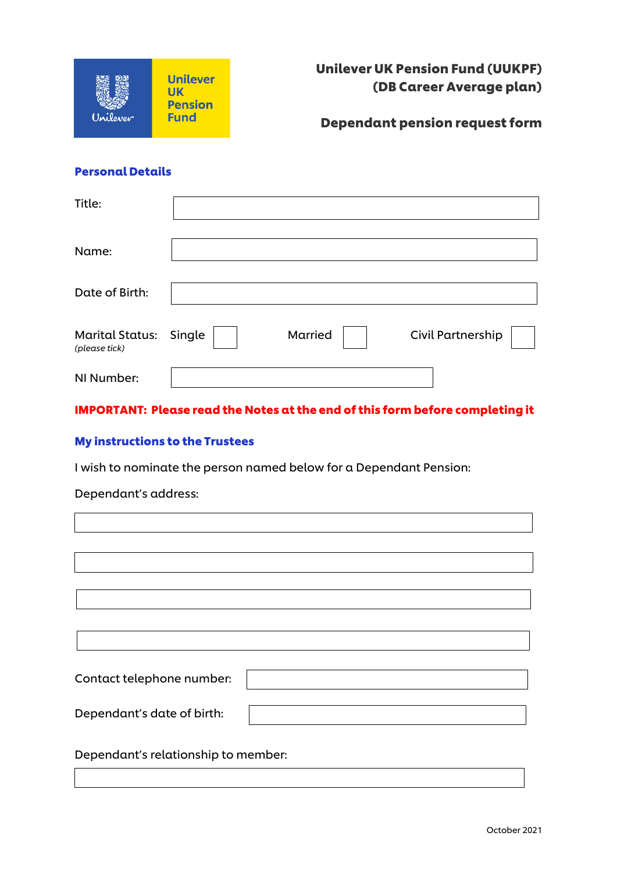

Unilever UK Pension Fund (UUKPF) (DB Career Average plan)

Dependant pension request form

### Personal Details

| Title:                                         |         |                          |
|------------------------------------------------|---------|--------------------------|
| Name:                                          |         |                          |
| Date of Birth:                                 |         |                          |
| <b>Marital Status: Single</b><br>(please tick) | Married | <b>Civil Partnership</b> |
| NI Number:                                     |         |                          |

IMPORTANT: Please read the Notes at the end of this form before completing it

# My instructions to the Trustees

I wish to nominate the person named below for a Dependant Pension:

Dependant's address:

| Contact telephone number:           |  |
|-------------------------------------|--|
|                                     |  |
| Dependant's date of birth:          |  |
|                                     |  |
| Dependant's relationship to member: |  |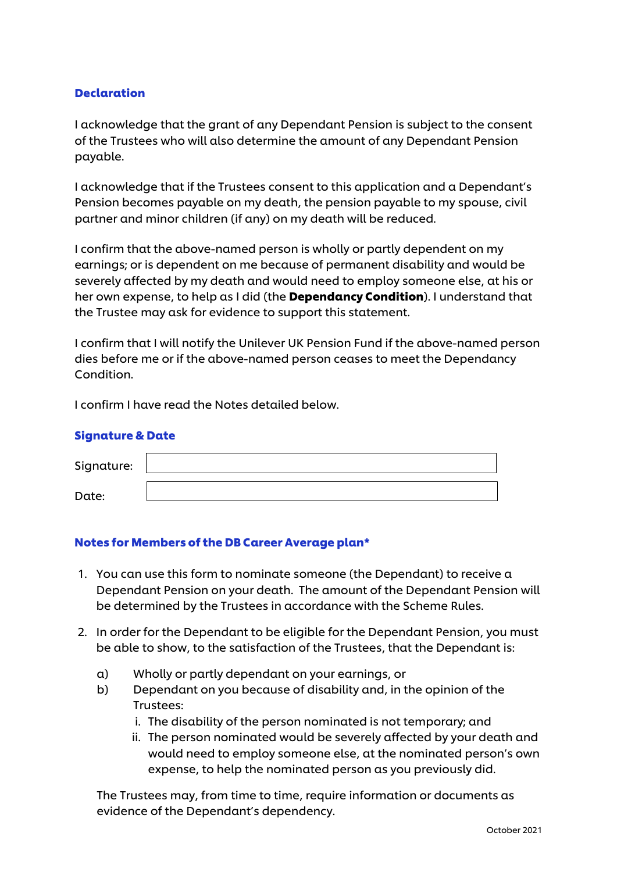### **Declaration**

I acknowledge that the grant of any Dependant Pension is subject to the consent of the Trustees who will also determine the amount of any Dependant Pension payable.

I acknowledge that if the Trustees consent to this application and a Dependant's Pension becomes payable on my death, the pension payable to my spouse, civil partner and minor children (if any) on my death will be reduced.

I confirm that the above-named person is wholly or partly dependent on my earnings; or is dependent on me because of permanent disability and would be severely affected by my death and would need to employ someone else, at his or her own expense, to help as I did (the **Dependancy Condition**). I understand that the Trustee may ask for evidence to support this statement.

I confirm that I will notify the Unilever UK Pension Fund if the above-named person dies before me or if the above-named person ceases to meet the Dependancy Condition.

I confirm I have read the Notes detailed below.

#### Signature & Date

| Signature: |  |
|------------|--|
| Date:      |  |

#### Notes for Members of the DB Career Average plan\*

- 1. You can use this form to nominate someone (the Dependant) to receive a Dependant Pension on your death. The amount of the Dependant Pension will be determined by the Trustees in accordance with the Scheme Rules.
- 2. In order for the Dependant to be eligible for the Dependant Pension, you must be able to show, to the satisfaction of the Trustees, that the Dependant is:
	- a) Wholly or partly dependant on your earnings, or
	- b) Dependant on you because of disability and, in the opinion of the Trustees:
		- i. The disability of the person nominated is not temporary; and
		- ii. The person nominated would be severely affected by your death and would need to employ someone else, at the nominated person's own expense, to help the nominated person as you previously did.

The Trustees may, from time to time, require information or documents as evidence of the Dependant's dependency.